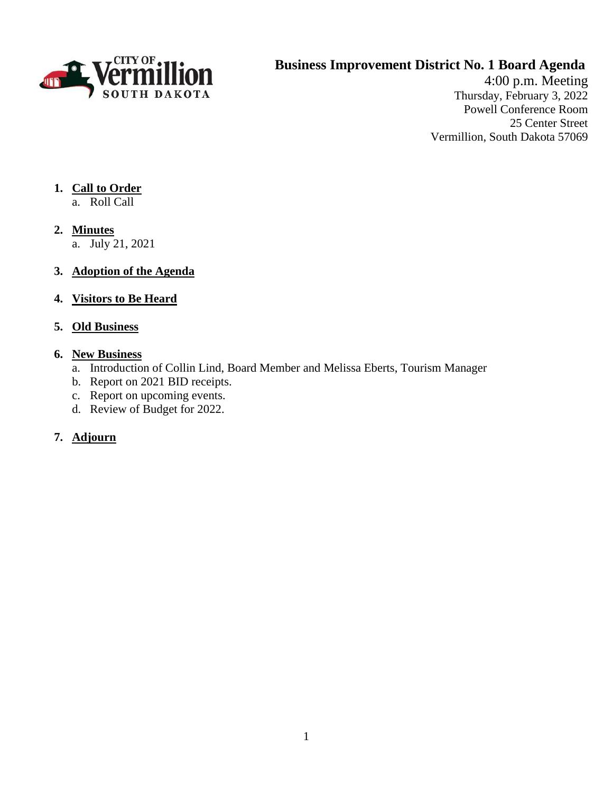

# **Business Improvement District No. 1 Board Agenda**

4:00 p.m. Meeting Thursday, February 3, 2022 Powell Conference Room 25 Center Street Vermillion, South Dakota 57069

## **1. Call to Order**

- a. Roll Call
- **2. Minutes**
	- a. July 21, 2021
- **3. Adoption of the Agenda**
- **4. Visitors to Be Heard**

## **5. Old Business**

## **6. New Business**

- a. Introduction of Collin Lind, Board Member and Melissa Eberts, Tourism Manager
- b. Report on 2021 BID receipts.
- c. Report on upcoming events.
- d. Review of Budget for 2022.
- 7. **Adjourn**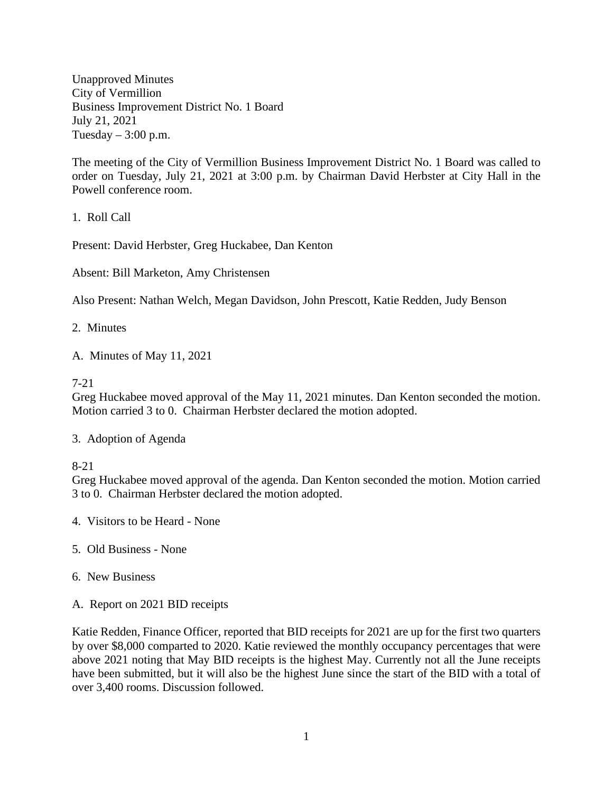Unapproved Minutes City of Vermillion Business Improvement District No. 1 Board July 21, 2021 Tuesday  $-3:00$  p.m.

The meeting of the City of Vermillion Business Improvement District No. 1 Board was called to order on Tuesday, July 21, 2021 at 3:00 p.m. by Chairman David Herbster at City Hall in the Powell conference room.

1. Roll Call

Present: David Herbster, Greg Huckabee, Dan Kenton

Absent: Bill Marketon, Amy Christensen

Also Present: Nathan Welch, Megan Davidson, John Prescott, Katie Redden, Judy Benson

2. Minutes

A. Minutes of May 11, 2021

#### 7-21

Greg Huckabee moved approval of the May 11, 2021 minutes. Dan Kenton seconded the motion. Motion carried 3 to 0. Chairman Herbster declared the motion adopted.

3. Adoption of Agenda

8-21

Greg Huckabee moved approval of the agenda. Dan Kenton seconded the motion. Motion carried 3 to 0. Chairman Herbster declared the motion adopted.

- 4. Visitors to be Heard None
- 5. Old Business None
- 6. New Business
- A. Report on 2021 BID receipts

Katie Redden, Finance Officer, reported that BID receipts for 2021 are up for the first two quarters by over \$8,000 comparted to 2020. Katie reviewed the monthly occupancy percentages that were above 2021 noting that May BID receipts is the highest May. Currently not all the June receipts have been submitted, but it will also be the highest June since the start of the BID with a total of over 3,400 rooms. Discussion followed.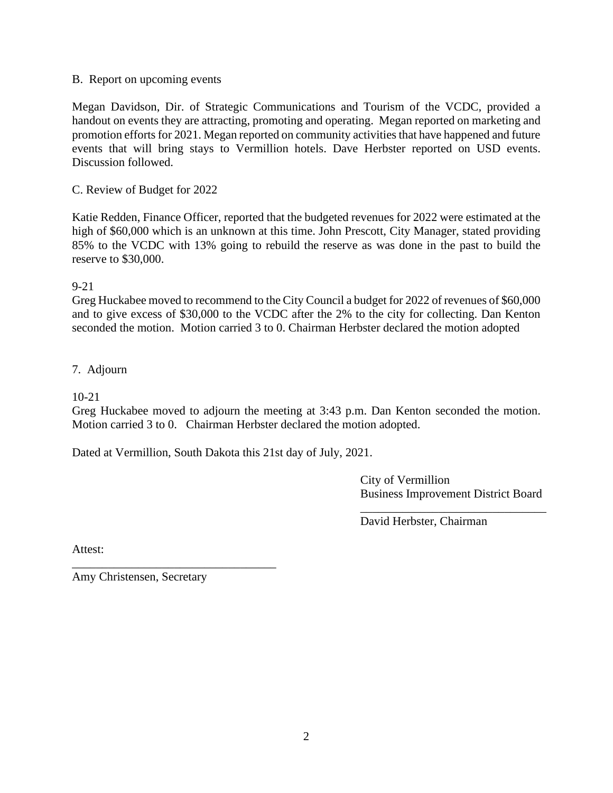### B. Report on upcoming events

Megan Davidson, Dir. of Strategic Communications and Tourism of the VCDC, provided a handout on events they are attracting, promoting and operating. Megan reported on marketing and promotion efforts for 2021. Megan reported on community activities that have happened and future events that will bring stays to Vermillion hotels. Dave Herbster reported on USD events. Discussion followed.

## C. Review of Budget for 2022

Katie Redden, Finance Officer, reported that the budgeted revenues for 2022 were estimated at the high of \$60,000 which is an unknown at this time. John Prescott, City Manager, stated providing 85% to the VCDC with 13% going to rebuild the reserve as was done in the past to build the reserve to \$30,000.

### 9-21

Greg Huckabee moved to recommend to the City Council a budget for 2022 of revenues of \$60,000 and to give excess of \$30,000 to the VCDC after the 2% to the city for collecting. Dan Kenton seconded the motion. Motion carried 3 to 0. Chairman Herbster declared the motion adopted

## 7. Adjourn

### 10-21

Greg Huckabee moved to adjourn the meeting at 3:43 p.m. Dan Kenton seconded the motion. Motion carried 3 to 0. Chairman Herbster declared the motion adopted.

Dated at Vermillion, South Dakota this 21st day of July, 2021.

City of Vermillion Business Improvement District Board

\_\_\_\_\_\_\_\_\_\_\_\_\_\_\_\_\_\_\_\_\_\_\_\_\_\_\_\_\_\_\_

David Herbster, Chairman

Attest:

Amy Christensen, Secretary

\_\_\_\_\_\_\_\_\_\_\_\_\_\_\_\_\_\_\_\_\_\_\_\_\_\_\_\_\_\_\_\_\_\_